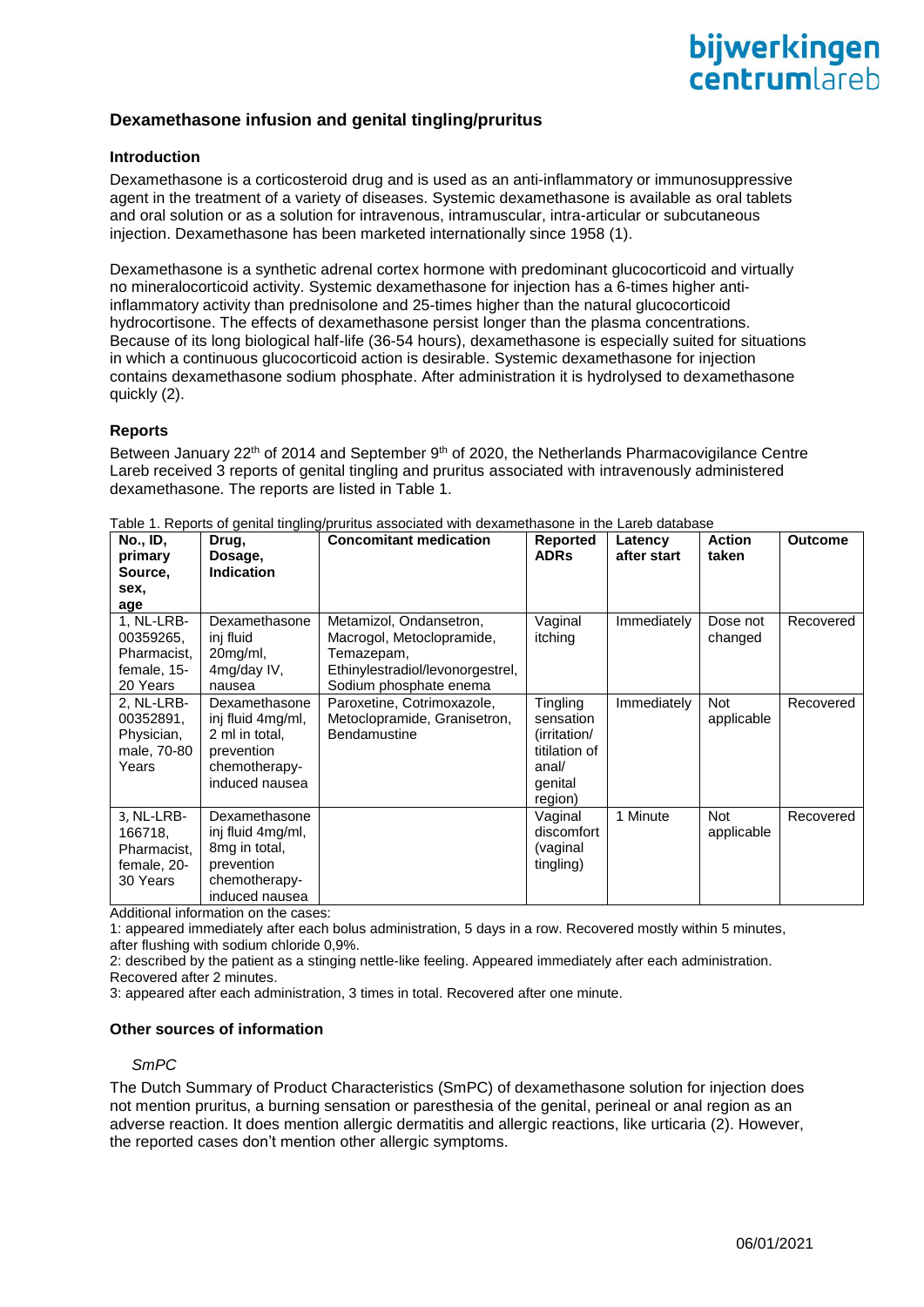# **Dexamethasone infusion and genital tingling/pruritus**

## **Introduction**

Dexamethasone is a corticosteroid drug and is used as an anti-inflammatory or immunosuppressive agent in the treatment of a variety of diseases. Systemic dexamethasone is available as oral tablets and oral solution or as a solution for intravenous, intramuscular, intra-articular or subcutaneous injection. Dexamethasone has been marketed internationally since 1958 [\(1\)](#page-2-0).

Dexamethasone is a synthetic adrenal cortex hormone with predominant glucocorticoid and virtually no mineralocorticoid activity. Systemic dexamethasone for injection has a 6-times higher antiinflammatory activity than prednisolone and 25-times higher than the natural glucocorticoid hydrocortisone. The effects of dexamethasone persist longer than the plasma concentrations. Because of its long biological half-life (36-54 hours), dexamethasone is especially suited for situations in which a continuous glucocorticoid action is desirable. Systemic dexamethasone for injection contains dexamethasone sodium phosphate. After administration it is hydrolysed to dexamethasone quickly [\(2\)](#page-2-1).

### **Reports**

Between January 22<sup>th</sup> of 2014 and September 9<sup>th</sup> of 2020, the Netherlands Pharmacovigilance Centre Lareb received 3 reports of genital tingling and pruritus associated with intravenously administered dexamethasone. The reports are listed in Table 1.

| <b>No., ID,</b><br>primary                                        | Drug,<br>Dosage,                                                                                      | <b>Concomitant medication</b>                                                                                                    | <b>Reported</b><br><b>ADRs</b>                                                        | Latency<br>after start | <b>Action</b><br>taken   | <b>Outcome</b> |
|-------------------------------------------------------------------|-------------------------------------------------------------------------------------------------------|----------------------------------------------------------------------------------------------------------------------------------|---------------------------------------------------------------------------------------|------------------------|--------------------------|----------------|
| Source,                                                           | <b>Indication</b>                                                                                     |                                                                                                                                  |                                                                                       |                        |                          |                |
| sex,<br>age                                                       |                                                                                                       |                                                                                                                                  |                                                                                       |                        |                          |                |
| 1, NL-LRB-<br>00359265,<br>Pharmacist,<br>female, 15-<br>20 Years | Dexamethasone<br>inj fluid<br>20mg/ml,<br>4mg/day IV,<br>nausea                                       | Metamizol, Ondansetron,<br>Macrogol, Metoclopramide,<br>Temazepam,<br>Ethinylestradiol/levonorgestrel,<br>Sodium phosphate enema | Vaginal<br>itching                                                                    | Immediately            | Dose not<br>changed      | Recovered      |
| 2, NL-LRB-<br>00352891,<br>Physician,<br>male, 70-80<br>Years     | Dexamethasone<br>inj fluid 4mg/ml,<br>2 ml in total,<br>prevention<br>chemotherapy-<br>induced nausea | Paroxetine, Cotrimoxazole,<br>Metoclopramide, Granisetron,<br>Bendamustine                                                       | Tingling<br>sensation<br>(irritation/<br>titilation of<br>anal/<br>genital<br>region) | Immediately            | <b>Not</b><br>applicable | Recovered      |
| 3, NL-LRB-<br>166718,<br>Pharmacist,<br>female, 20-<br>30 Years   | Dexamethasone<br>inj fluid 4mg/ml,<br>8mg in total,<br>prevention<br>chemotherapy-<br>induced nausea  |                                                                                                                                  | Vaginal<br>discomfort<br>(vaginal<br>tingling)                                        | 1 Minute               | <b>Not</b><br>applicable | Recovered      |

Table 1. Reports of genital tingling/pruritus associated with dexamethasone in the Lareb database

Additional information on the cases:

1: appeared immediately after each bolus administration, 5 days in a row. Recovered mostly within 5 minutes, after flushing with sodium chloride 0,9%.

2: described by the patient as a stinging nettle-like feeling. Appeared immediately after each administration. Recovered after 2 minutes.

3: appeared after each administration, 3 times in total. Recovered after one minute.

#### **Other sources of information**

#### *SmPC*

The Dutch Summary of Product Characteristics (SmPC) of dexamethasone solution for injection does not mention pruritus, a burning sensation or paresthesia of the genital, perineal or anal region as an adverse reaction. It does mention allergic dermatitis and allergic reactions, like urticaria [\(2\)](#page-2-1). However, the reported cases don't mention other allergic symptoms.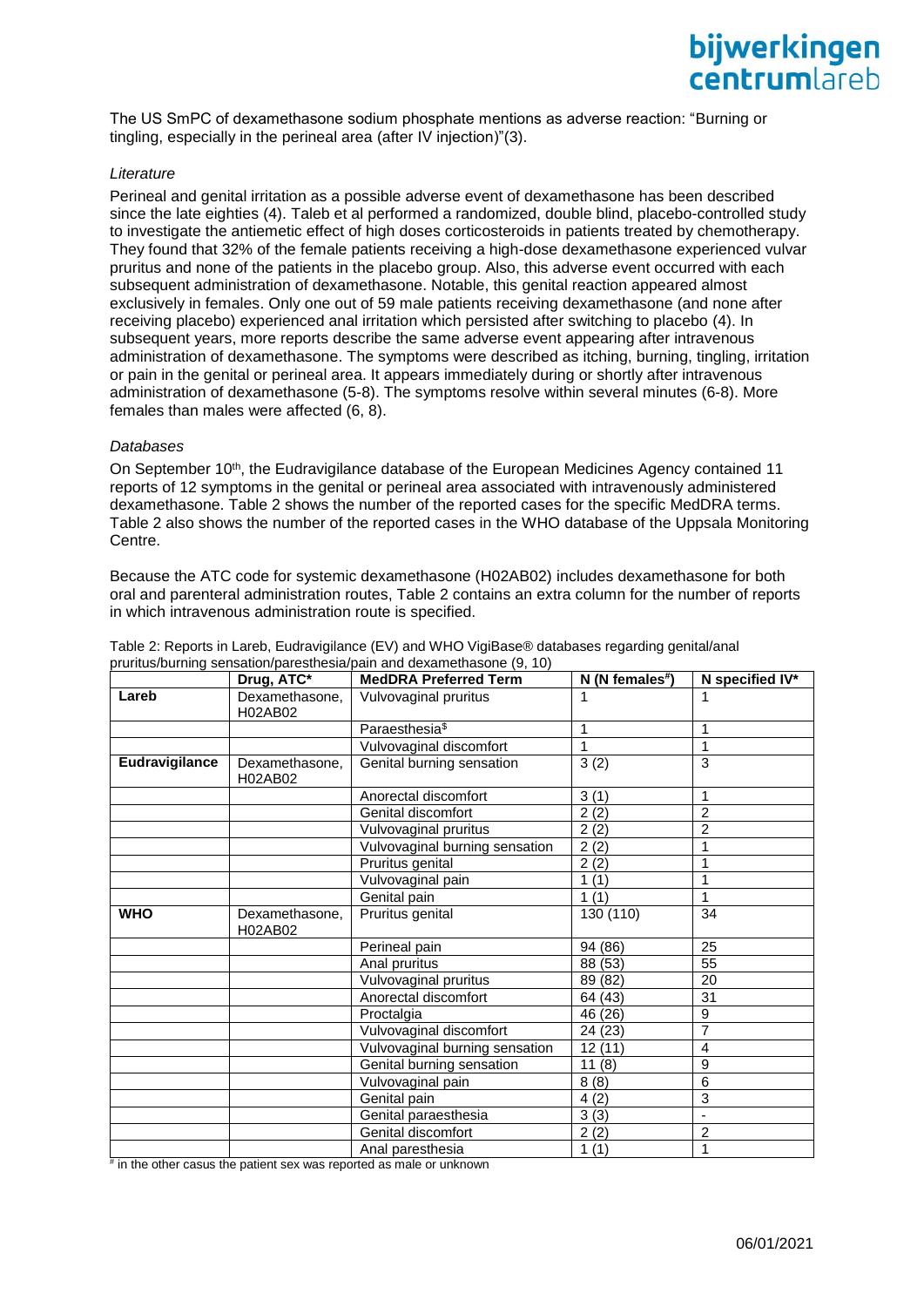The US SmPC of dexamethasone sodium phosphate mentions as adverse reaction: "Burning or tingling, especially in the perineal area (after IV injection)"[\(3\)](#page-2-2).

#### *Literature*

Perineal and genital irritation as a possible adverse event of dexamethasone has been described since the late eighties [\(4\)](#page-2-3). Taleb et al performed a randomized, double blind, placebo-controlled study to investigate the antiemetic effect of high doses corticosteroids in patients treated by chemotherapy. They found that 32% of the female patients receiving a high-dose dexamethasone experienced vulvar pruritus and none of the patients in the placebo group. Also, this adverse event occurred with each subsequent administration of dexamethasone. Notable, this genital reaction appeared almost exclusively in females. Only one out of 59 male patients receiving dexamethasone (and none after receiving placebo) experienced anal irritation which persisted after switching to placebo [\(4\)](#page-2-3). In subsequent years, more reports describe the same adverse event appearing after intravenous administration of dexamethasone. The symptoms were described as itching, burning, tingling, irritation or pain in the genital or perineal area. It appears immediately during or shortly after intravenous administration of dexamethasone [\(5-8\)](#page-2-4). The symptoms resolve within several minutes [\(6-8\)](#page-2-5). More females than males were affected [\(6,](#page-2-5) [8\)](#page-2-6).

#### *Databases*

On September 10<sup>th</sup>, the Eudravigilance database of the European Medicines Agency contained 11 reports of 12 symptoms in the genital or perineal area associated with intravenously administered dexamethasone. Table 2 shows the number of the reported cases for the specific MedDRA terms. Table 2 also shows the number of the reported cases in the WHO database of the Uppsala Monitoring Centre.

Because the ATC code for systemic dexamethasone (H02AB02) includes dexamethasone for both oral and parenteral administration routes, Table 2 contains an extra column for the number of reports in which intravenous administration route is specified.

|                | Drug, ATC*                | , and partning conceatory percouncile pent and ackentonacento (0, 10)<br><b>MedDRA Preferred Term</b> | $N(N$ females <sup>#</sup> ) | N specified IV* |
|----------------|---------------------------|-------------------------------------------------------------------------------------------------------|------------------------------|-----------------|
| Lareb          | Dexamethasone,<br>H02AB02 | Vulvovaginal pruritus                                                                                 | 1                            | 1               |
|                |                           | Paraesthesia <sup>\$</sup>                                                                            | 1                            | 1               |
|                |                           | Vulvovaginal discomfort                                                                               | 1                            | 1               |
| Eudravigilance | Dexamethasone,<br>H02AB02 | Genital burning sensation                                                                             | 3(2)                         | 3               |
|                |                           | Anorectal discomfort                                                                                  | 3(1)                         | 1               |
|                |                           | Genital discomfort                                                                                    | 2(2)                         | $\overline{2}$  |
|                |                           | Vulvovaginal pruritus                                                                                 | 2(2)                         | $\mathfrak{p}$  |
|                |                           | Vulvovaginal burning sensation                                                                        | 2(2)                         | 1               |
|                |                           | Pruritus genital                                                                                      | 2(2)                         | 1               |
|                |                           | Vulvovaginal pain                                                                                     | 1(1)                         | 1               |
|                |                           | Genital pain                                                                                          | 1(1)                         | 1               |
| <b>WHO</b>     | Dexamethasone,<br>H02AB02 | Pruritus genital                                                                                      | 130 (110)                    | 34              |
|                |                           | Perineal pain                                                                                         | 94 (86)                      | 25              |
|                |                           | Anal pruritus                                                                                         | 88 (53)                      | 55              |
|                |                           | Vulvovaginal pruritus                                                                                 | 89 (82)                      | 20              |
|                |                           | Anorectal discomfort                                                                                  | 64 (43)                      | 31              |
|                |                           | Proctalgia                                                                                            | 46 (26)                      | 9               |
|                |                           | Vulvovaginal discomfort                                                                               | 24 (23)                      | 7               |
|                |                           | Vulvovaginal burning sensation                                                                        | 12(11)                       | 4               |
|                |                           | Genital burning sensation                                                                             | 11(8)                        | 9               |
|                |                           | Vulvovaginal pain                                                                                     | 8(8)                         | 6               |
|                |                           | Genital pain                                                                                          | 4(2)                         | 3               |
|                |                           | Genital paraesthesia                                                                                  | 3(3)                         |                 |
|                |                           | Genital discomfort                                                                                    | 2(2)                         | $\overline{2}$  |
|                |                           | Anal paresthesia                                                                                      | 1(1)                         | 1               |

Table 2: Reports in Lareb, Eudravigilance (EV) and WHO VigiBase® databases regarding genital/anal pruritus/burning sensation/paresthesia/pain and dexamethasone [\(9,](#page-2-7) [10\)](#page-2-8)

# in the other casus the patient sex was reported as male or unknown